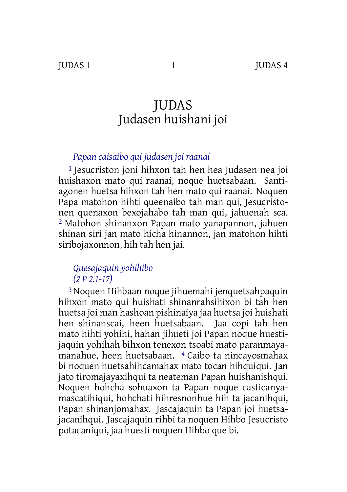# JUDAS Judasen huishani joi

# *Papan caisaibo qui Judasen joi raanai*

1 Jesucriston joni hihxon tah hen hea Judasen nea joi huishaxon mato qui raanai, noque huetsabaan. Santiagonen huetsa hihxon tah hen mato qui raanai. Noquen Papa matohon hihti queenaibo tah man qui, Jesucristonen quenaxon bexojahabo tah man qui, jahuenah sca. 2 Matohon shinanxon Papan mato yanapannon, jahuen shinan siri jan mato hicha hinannon, jan matohon hihti siribojaxonnon, hih tah hen jai.

# *Quesajaquin yohihibo (2 P 2.1-17)*

3 Noquen Hihbaan noque jihuemahi jenquetsahpaquin hihxon mato qui huishati shinanrahsihixon bi tah hen huetsa joi man hashoan pishinaiya jaa huetsa joi huishati hen shinanscai, heen huetsabaan. Jaa copi tah hen mato hihti yohihi, hahan jihueti joi Papan noque huestijaquin yohihah bihxon tenexon tsoabi mato paranmayamanahue, heen huetsabaan. 4 Caibo ta nincayosmahax bi noquen huetsahihcamahax mato tocan hihquiqui. Jan jato tiromajayaxihqui ta neateman Papan huishanishqui. Noquen hohcha sohuaxon ta Papan noque casticanyamascatihiqui, hohchati hihresnonhue hih ta jacanihqui, Papan shinanjomahax. Jascajaquin ta Papan joi huetsajacanihqui. Jascajaquin rihbi ta noquen Hihbo Jesucristo potacaniqui, jaa huesti noquen Hihbo que bi.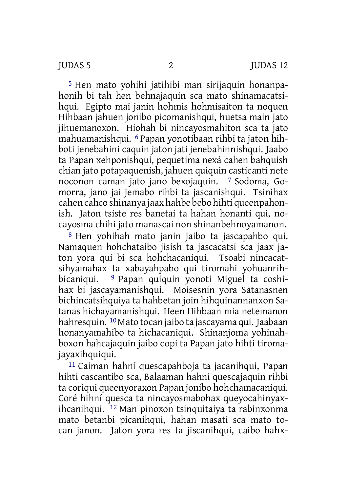5 Hen mato yohihi jatihibi man sirijaquin honanpahonih bi tah hen behnajaquin sca mato shinamacatsihqui. Egipto mai janin hohmis hohmisaiton ta noquen Hihbaan jahuen jonibo picomanishqui, huetsa main jato jihuemanoxon. Hiohah bi nincayosmahiton sca ta jato mahuamanishqui. 6 Papan yonotibaan rihbi ta jaton hihboti jenebahini caquin jaton jati jenebahinnishqui. Jaabo ta Papan xehponishqui, pequetima nexá cahen bahquish chian jato potapaquenish, jahuen quiquin casticanti nete noconon caman jato jano bexojaquin. 7 Sodoma, Gomorra, jano jai jemabo rihbi ta jascanishqui. Tsinihax cahen cahco shinanya jaax hahbe bebo hihti queenpahonish. Jaton tsiste res banetai ta hahan honanti qui, nocayosma chihi jato manascai non shinanbehnoyamanon.

8 Hen yohihah mato janin jaibo ta jascapahbo qui. Namaquen hohchataibo jisish ta jascacatsi sca jaax jaton yora qui bi sca hohchacaniqui. Tsoabi nincacatsihyamahax ta xabayahpabo qui tiromahi yohuanrihbicaniqui. 9 Papan quiquin yonoti Miguel ta coshihax bi jascayamanishqui. Moisesnin yora Satanasnen bichincatsihquiya ta hahbetan join hihquinannanxon Satanas hichayamanishqui. Heen Hihbaan mia netemanon hahresquin. 10Mato tocan jaibo ta jascayama qui. Jaabaan honanyamahibo ta hichacaniqui. Shinanjoma yohinahboxon hahcajaquin jaibo copi ta Papan jato hihti tiromajayaxihquiqui.

11 Caiman hahní quescapahboja ta jacanihqui, Papan hihti cascantibo sca, Balaaman hahni quescajaquin rihbi ta coriqui queenyoraxon Papan jonibo hohchamacaniqui. Coré hihní quesca ta nincayosmabohax queyocahinyaxihcanihqui. 12 Man pinoxon tsinquitaiya ta rabinxonma mato betanbi picanihqui, hahan masati sca mato tocan janon. Jaton yora res ta jiscanihqui, caibo hahx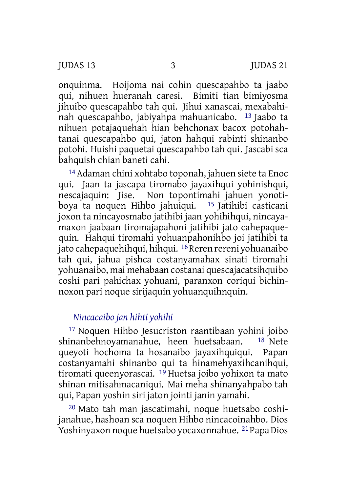onquinma. Hoijoma nai cohin quescapahbo ta jaabo qui, nihuen hueranah caresi. Bimiti tian bimiyosma jihuibo quescapahbo tah qui. Jihui xanascai, mexabahinah quescapahbo, jabiyahpa mahuanicabo. 13 Jaabo ta nihuen potajaquehah hian behchonax bacox potohahtanai quescapahbo qui, jaton hahqui rabinti shinanbo potohi. Huishi paquetai quescapahbo tah qui. Jascabi sca bahquish chian baneti cahi.

14Adaman chini xohtabo toponah, jahuen siete ta Enoc qui. Jaan ta jascapa tiromabo jayaxihqui yohinishqui, Non topontimahi jahuen yonoti-<br>bo jahuigui. <sup>15</sup> Jatihibi casticani boya ta noquen Hihbo jahuiqui. joxon ta nincayosmabo jatihibi jaan yohihihqui, nincayamaxon jaabaan tiromajapahoni jatihibi jato cahepaquequin. Hahqui tiromahi yohuanpahonihbo joi jatihibi ta jato cahepaquehihqui, hihqui. <sup>16</sup> Reren rereni yohuanaibo tah qui, jahua pishca costanyamahax sinati tiromahi yohuanaibo, mai mehabaan costanai quescajacatsihquibo coshi pari pahichax yohuani, paranxon coriqui bichinnoxon pari noque sirijaquin yohuanquihnquin.

## *Nincacaibo jan hihti yohihi*

 $17$  Noquen Hihbo Jesucriston raantibaan yohini joibo inanhehnovamanahue. heen huetsabaan.  $18$  Nete shinanbehnoyamanahue, heen huetsabaan. queyoti hochoma ta hosanaibo jayaxihquiqui. Papan costanyamahi shinanbo qui ta hinamehyaxihcanihqui, tiromati queenyorascai. <sup>19</sup> Huetsa joibo yohixon ta mato shinan mitisahmacaniqui. Mai meha shinanyahpabo tah qui, Papan yoshin siri jaton jointi janin yamahi.

20 Mato tah man jascatimahi, noque huetsabo coshijanahue, hashoan sca noquen Hihbo nincacoinahbo. Dios Yoshinyaxon noque huetsabo yocaxonnahue. 21Papa Dios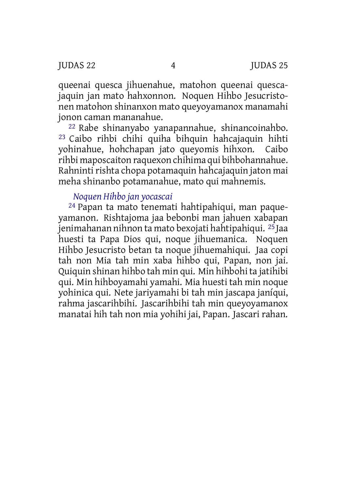queenai quesca jihuenahue, matohon queenai quescajaquin jan mato hahxonnon. Noquen Hihbo Jesucristonen matohon shinanxon mato queyoyamanox manamahi jonon caman mananahue.

22 Rabe shinanyabo yanapannahue, shinancoinahbo. 23 Caibo rihbi chihi quiha bihquin hahcajaquin hihti yohinahue, hohchapan jato queyomis hihxon. Caibo rihbi maposcaiton raquexon chihima qui bihbohannahue. Rahninti rishta chopa potamaquin hahcajaquin jaton mai meha shinanbo potamanahue, mato qui mahnemis.

## *Noquen Hihbo jan yocascai*

24 Papan ta mato tenemati hahtipahiqui, man paqueyamanon. Rishtajoma jaa bebonbi man jahuen xabapan jenimahanan nihnon ta mato bexojati hahtipahiqui. 25 Jaa huesti ta Papa Dios qui, noque jihuemanica. Noquen Hihbo Jesucristo betan ta noque jihuemahiqui. Jaa copi tah non Mia tah min xaba hihbo qui, Papan, non jai. Quiquin shinan hihbo tah min qui. Min hihbohi ta jatihibi qui. Min hihboyamahi yamahi. Mia huesti tah min noque yohinica qui. Nete jariyamahi bi tah min jascapa janíqui, rahma jascarihbihi. Jascarihbihi tah min queyoyamanox manatai hih tah non mia yohihi jai, Papan. Jascari rahan.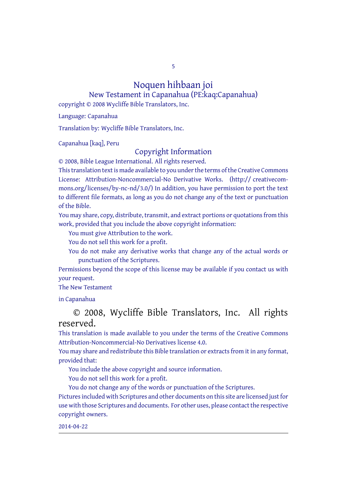5

### Noquen hihbaan joi New Testament in Capanahua (PE:kaq:Capanahua)

copyright © 2008 Wycliffe Bible Translators, Inc.

Language: Capanahua

Translation by: Wycliffe Bible Translators, Inc.

Capanahua [kaq], Peru

#### Copyright Information

© 2008, Bible League International. All rights reserved.

This translation text is made available to you under the terms of the Creative [Commons](http://creativecommons.org/licenses/by-nc-nd/4.0/) License: [Attribution-Noncommercial-No](http://creativecommons.org/licenses/by-nc-nd/4.0/) Derivative Works. (http:// creativecommons.org/licenses/by-nc-nd/3.0/) In addition, you have permission to port the text to different file formats, as long as you do not change any of the text or punctuation of the Bible.

You may share, copy, distribute, transmit, and extract portions or quotations from this work, provided that you include the above copyright information:

You must give Attribution to the work.

You do not sell this work for a profit.

You do not make any derivative works that change any of the actual words or punctuation of the Scriptures.

Permissions beyond the scope of this license may be available if you contact us with your request.

#### The New Testament

in Capanahua

## © 2008, Wycliffe Bible Translators, Inc. All rights reserved.

This translation is made available to you under the terms of the Creative Commons Attribution-Noncommercial-No Derivatives license 4.0.

You may share and redistribute this Bible translation or extracts from it in any format, provided that:

You include the above copyright and source information.

You do not sell this work for a profit.

You do not change any of the words or punctuation of the Scriptures. Pictures included with Scriptures and other documents on this site are licensed just for use with those Scriptures and documents. For other uses, please contact the respective copyright owners.

2014-04-22